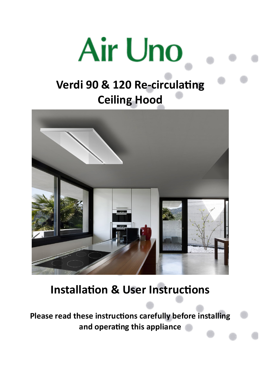# **Air Uno**

# **Verdi 90 & 120 Re-circulating Ceiling Hood**



# **Installation & User Instructions**

**Please read these instructions carefully before installing and operating this appliance**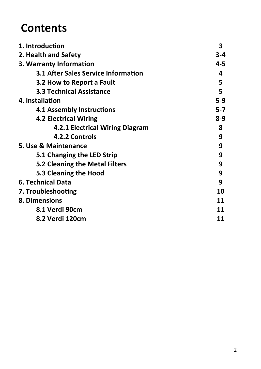# **Contents**

| 1. Introduction                            | 3       |
|--------------------------------------------|---------|
| 2. Health and Safety                       | 3-4     |
| 3. Warranty Information                    | 4-5     |
| <b>3.1 After Sales Service Information</b> | 4       |
| 3.2 How to Report a Fault                  | 5       |
| <b>3.3 Technical Assistance</b>            | 5       |
| 4. Installation                            | $5-9$   |
| <b>4.1 Assembly Instructions</b>           | $5 - 7$ |
| <b>4.2 Electrical Wiring</b>               | $8-9$   |
| 4.2.1 Electrical Wiring Diagram            | 8       |
| 4.2.2 Controls                             | 9       |
| 5. Use & Maintenance                       | 9       |
| 5.1 Changing the LED Strip                 | 9       |
| 5.2 Cleaning the Metal Filters             | 9       |
| 5.3 Cleaning the Hood                      | 9       |
| 6. Technical Data                          | 9       |
| 7. Troubleshooting                         | 10      |
| 8. Dimensions                              | 11      |
| 8.1 Verdi 90cm                             | 11      |
| 8.2 Verdi 120cm                            | 11      |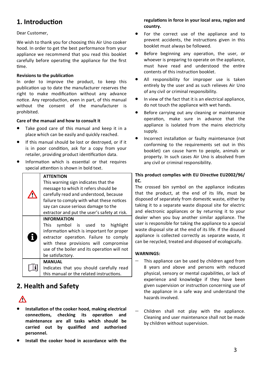# **1. Introduction**

#### Dear Customer,

We wish to thank you for choosing this Air Uno cooker hood. In order to get the best performance from your appliance we recommend that you read this booklet carefully before operating the appliance for the first time.

#### **Revisions to the publication**

In order to improve the product, to keep this publication up to date the manufacturer reserves the right to make modification without any advance notice. Any reproduction, even in part, of this manual without the consent of the manufacturer is prohibited.

#### **Care of the manual and how to consult it**

- Take good care of this manual and keep it in a place which can be easily and quickly reached.
- If this manual should be lost or destroyed, or if it is in poor condition, ask for a copy from your retailer, providing product identification data.
- Information which is essential or that requires special attention is shown in bold text.

#### **ATTENTION**

∕

H

H

This warning sign indicates that the message to which it refers should be carefully read and understood, because failure to comply with what these notices say can cause serious damage to the extractor and put the user's safety at risk. **INFORMATION** This symbol is used to highlight information which is important for proper extractor operation. Failure to comply with these provisions will compromise use of the boiler and its operation will not be satisfactory. **MANUAL**

Indicates that you should carefully read this manual or the related instructions.

# **2. Health and Safety**

# Λ

- **Installation of the cooker hood, making electrical connections, checking its operation and maintenance are all tasks which should be carried out by qualified and authorised personnel.**
- **Install the cooker hood in accordance with the**

#### **regulations in force in your local area, region and country.**

- For the correct use of the appliance and to prevent accidents, the instructions given in this booklet must always be followed.
- Before beginning any operation, the user, or whoever is preparing to operate on the appliance, must have read and understood the entire contents of this instruction booklet.
- All responsibility for improper use is taken entirely by the user and as such relieves Air Uno of any civil or criminal responsibility.
- In view of the fact that it is an electrical appliance, do not touch the appliance with wet hands.
- Before carrying out any cleaning or maintenance operation, make sure in advance that the appliance is isolated from the mains electricity supply.
- Incorrect installation or faulty maintenance (not conforming to the requirements set out in this booklet) can cause harm to people, animals or property. In such cases Air Uno is absolved from any civil or criminal responsibility.

#### **This product complies with EU Directive EU2002/96/ EC.**

The crossed bin symbol on the appliance indicates that the product, at the end of its life, must be disposed of separately from domestic waste, either by taking it to a separate waste disposal site for electric and electronic appliances or by returning it to your dealer when you buy another similar appliance. The user is responsible for taking the appliance to a special waste disposal site at the end of its life. If the disused appliance is collected correctly as separate waste, it can be recycled, treated and disposed of ecologically.

#### **WARNINGS:**

- This appliance can be used by children aged from 8 years and above and persons with reduced physical, sensory or mental capabilities, or lack of experience and knowledge if they have been given supervision or instruction concerning use of the appliance in a safe way and understand the hazards involved.
- − Children shall not play with the appliance. Cleaning and user maintenance shall not be made by children without supervision.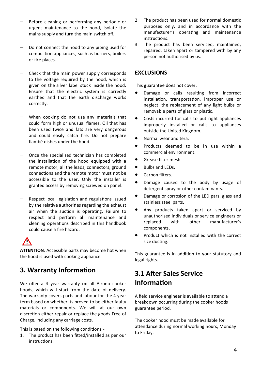- − Before cleaning or performing any periodic or urgent maintenance to the hood, isolate the mains supply and turn the main switch off.
- Do not connect the hood to any piping used for combustion appliances, such as burners, boilers or fire places.
- − Check that the main power supply corresponds to the voltage required by the hood, which is given on the silver label stuck inside the hood. Ensure that the electric system is correctly earthed and that the earth discharge works correctly.
- − When cooking do not use any materials that could form high or unusual flames. Oil that has been used twice and fats are very dangerous and could easily catch fire. Do not prepare flambé dishes under the hood.
- − Once the specialised technician has completed the installation of the hood equipped with a remote motor, all the leads, connectors, ground connections and the remote motor must not be accessible to the user. Only the installer is granted access by removing screwed on panel.
- − Respect local legislation and regulations issued by the relative authorities regarding the exhaust air when the suction is operating. Failure to respect and perform all maintenance and cleaning operations described in this handbook could cause a fire hazard.

**ATTENTION**: Accessible parts may become hot when the hood is used with cooking appliance.

## **3. Warranty Information**

╱╲

We offer a 4 year warranty on all Airuno cooker hoods, which will start from the date of delivery. The warranty covers parts and labour for the 4 year term based on whether its proved to be either faulty materials or components. We will at our own discretion either repair or replace the goods Free of Charge, including any carriage costs.

This is based on the following conditions:-

1. The product has been fitted/installed as per our instructions.

- 2. The product has been used for normal domestic purposes only, and in accordance with the manufacturer's operating and maintenance instructions.
- 3. The product has been serviced, maintained, repaired, taken apart or tampered with by any person not authorised by us.

#### **EXCLUSIONS**

This guarantee does not cover:

- Damage or calls resulting from incorrect installation, transportation, improper use or neglect, the replacement of any light bulbs or removable parts of glass or plastic.
- Costs incurred for calls to put right appliances improperly installed or calls to appliances outside the United Kingdom.
- Normal wear and tera.
- Products deemed to be in use within a commercial environment.
- Grease filter mesh.
- Bulbs and LEDs.
- Carhon filters
- Damage caused to the body by usage of detergent spray or other contaminants.
- Damage or corrosion of the LED pars, glass and stainless steel parts.
- Any products taken apart or serviced by unauthorised individuals or service engineers or replaced with other manufacturer's components.
- Product which is not installed with the correct size ducting.

This guarantee is in addition to your statutory and legal rights.

## **3.1 After Sales Service Information**

A field service engineer is available to attend a breakdown occurring during the cooker hoods guarantee period.

The cooker hood must be made available for attendance during normal working hours, Monday to Friday.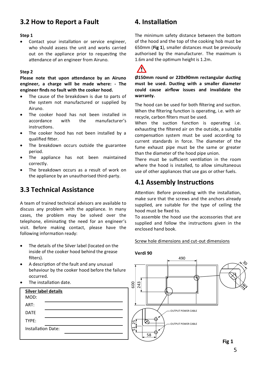## **3.2 How to Report a Fault**

#### **Step 1**

Contact your installation or service engineer. who should assess the unit and works carried out on the appliance prior to requesting the attendance of an engineer from Airuno.

#### **Step 2**

**Please note that upon attendance by an Airuno engineer, a charge will be made where: - The engineer finds no fault with the cooker hood.** 

- The cause of the breakdown is due to parts of the system not manufactured or supplied by Airuno.
- The cooker hood has not been installed in accordance with the manufacturer's instructions.
- The cooker hood has not been installed by a qualified fitter.
- The breakdown occurs outside the guarantee period.
- The appliance has not been maintained correctly.
- The breakdown occurs as a result of work on the appliance by an unauthorised third-party.

## **3.3 Technical Assistance**

A team of trained technical advisors are available to discuss any problem with the appliance. In many cases, the problem may be solved over the telephone, eliminating the need for an engineer's visit. Before making contact, please have the following information ready:

- The details of the Silver label (located on the inside of the cooker hood behind the grease filters).
- A description of the fault and any unusual behaviour by the cooker hood before the failure occurred.
- The installation date.



# **4. Installation**

The minimum safety distance between the bottom of the hood and the top of the cooking hob must be 650mm (**Fig 1**), smaller distances must be previously authorised by the manufacturer. The maximum is 1.6m and the optimum height is 1.2m.



**Ø150mm round or 220x90mm rectangular ducting must be used. Ducting with a smaller diameter could cause airflow issues and invalidate the warranty.**

The hood can be used for both filtering and suction. When the filtering function is operating, i.e. with air recycle, carbon filters must be used.

When the suction function is operating i.e. exhausting the filtered air on the outside, a suitable compensation system must be used according to current standards in force. The diameter of the fume exhaust pipe must be the same or greater than the diameter of the hood pipe union.

There must be sufficient ventilation in the room where the hood is installed, to allow simultaneous use of other appliances that use gas or other fuels.

## **4.1 Assembly Instructions**

Attention: Before proceeding with the installation, make sure that the screws and the anchors already supplied, are suitable for the type of ceiling the hood must be fixed to.

To assemble the hood use the accessories that are supplied and follow the instructions given in the enclosed hand book.

Screw hole dimensions and cut-out dimensions

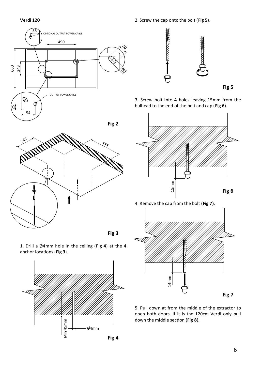



**Fig 3**

1. Drill a Ø4mm hole in the ceiling (**Fig 4**) at the 4 anchor locations (**Fig 3**).







3. Screw bolt into 4 holes leaving 15mm from the bulhead to the end of the bolt and cap (**Fig 6**).



4. Remove the cap from the bolt (**Fig 7)**.



5. Pull down at from the middle of the extractor to open both doors. If it is the 120cm Verdi only pull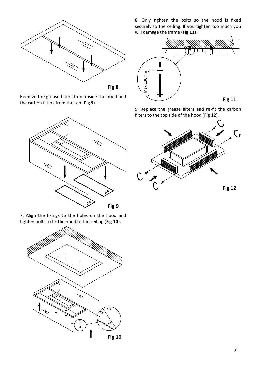

Remove the grease filters from inside the hood and the carbon filters from the top (**Fig 9**).



7. Align the fixings to the holes on the hood and tighten bolts to fix the hood to the ceiling (**Fig 10**).



8. Only tighten the bolts so the hood is fixed securely to the ceiling. If you tighten too much you will damage the frame (**Fig 11**).



9. Replace the grease filters and re-fit the carbon filters to the top side of the hood (**Fig 12**).

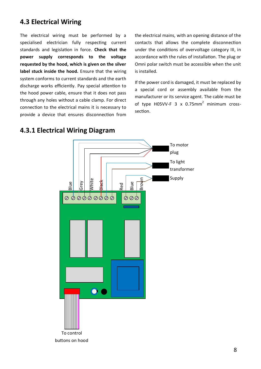# **4.3 Electrical Wiring**

The electrical wiring must be performed by a specialised electrician fully respecting current standards and legislation in force. **Check that the power supply corresponds to the voltage requested by the hood, which is given on the silver label stuck inside the hood.** Ensure that the wiring system conforms to current standards and the earth discharge works efficiently. Pay special attention to the hood power cable, ensure that it does not pass through any holes without a cable clamp. For direct connection to the electrical mains it is necessary to provide a device that ensures disconnection from

the electrical mains, with an opening distance of the contacts that allows the complete disconnection under the conditions of overvoltage category III, in accordance with the rules of installation. The plug or Omni polar switch must be accessible when the unit is installed.

If the power cord is damaged, it must be replaced by a special cord or assembly available from the manufacturer or its service agent. The cable must be of type H05VV-F 3 x 0.75mm<sup>2</sup> minimum crosssection.



#### **4.3.1 Electrical Wiring Diagram**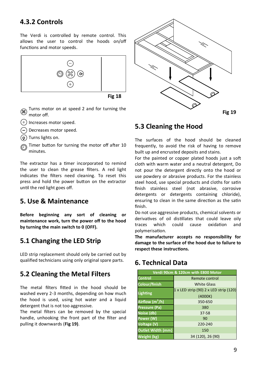## **4.3.2 Controls**

The Verdi is controlled by remote control. This allows the user to control the hoods on/off functions and motor speeds.



**Fig 18**

- Turns motor on at speed 2 and for turning the motor off.
- $(+)$  Increases motor speed.
- Decreases motor speed.
- Turns lights on.
- Timer button for turning the motor off after 10 minutes.

The extractor has a timer incorporated to remind the user to clean the grease filters. A red light indicates the filters need cleaning. To reset this press and hold the power button on the extractor until the red light goes off.

#### **5. Use & Maintenance**

**Before beginning any sort of cleaning or maintenance work, turn the power off to the hood by turning the main switch to 0 (OFF).**

## **5.1 Changing the LED Strip**

LED strip replacement should only be carried out by qualified technicians using only original spare parts.

#### **5.2 Cleaning the Metal Filters**

The metal filters fitted in the hood should be washed every 2-3 months, depending on how much the hood is used, using hot water and a liquid detergent that is not too aggressive.

The metal filters can be removed by the special handle, unhooking the front part of the filter and pulling it downwards (**Fig 19)**.



#### **5.3 Cleaning the Hood**

The surfaces of the hood should be cleaned frequently, to avoid the risk of having to remove built up and encrusted deposits and stains.

For the painted or copper plated hoods just a soft cloth with warm water and a neutral detergent, Do not pour the detergent directly onto the hood or use powdery or abrasive products. For the stainless steel hood, use special products and cloths for satin finish stainless steel (not abrasive, corrosive detergents or detergents containing chloride), ensuring to clean in the same direction as the satin finish.

Do not use aggressive products, chemical solvents or derivatives of oil distillates that could leave oily traces which could cause oxidation and polymerisation.

**The manufacturer accepts no responsibility for damage to the surface of the hood due to failure to respect these instructions.**

#### **6. Technical Data**

| Verdi 90cm & 120cm with E800 Motor |                                        |
|------------------------------------|----------------------------------------|
| Control                            | Remote control                         |
| Colour/finish                      | <b>White Glass</b>                     |
| <b>Lighting</b>                    | 1 x LED strip (90) 2 x LED strip (120) |
|                                    | (4000K)                                |
| Airflow (m <sup>3</sup> /h)        | 350-650                                |
| <b>Pressure (Pa)</b>               | 380                                    |
| Noise (db)                         | 37-58                                  |
| Power (W)                          | 90                                     |
| Voltage (V)                        | 220-240                                |
| Outlet Width (mm)                  | 150                                    |
| Weight (kg)                        | 34 (120), 26 (90)                      |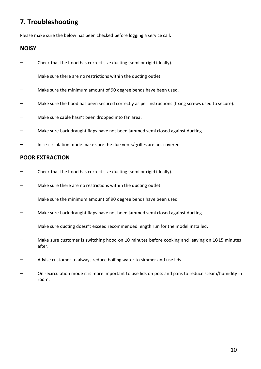# **7. Troubleshooting**

Please make sure the below has been checked before logging a service call.

#### **NOISY**

- − Check that the hood has correct size ducting (semi or rigid ideally).
- − Make sure there are no restrictions within the ducting outlet.
- − Make sure the minimum amount of 90 degree bends have been used.
- − Make sure the hood has been secured correctly as per instructions (fixing screws used to secure).
- − Make sure cable hasn't been dropped into fan area.
- Make sure back draught flaps have not been jammed semi closed against ducting.
- In re-circulation mode make sure the flue vents/grilles are not covered.

#### **POOR EXTRACTION**

- − Check that the hood has correct size ducting (semi or rigid ideally).
- − Make sure there are no restrictions within the ducting outlet.
- − Make sure the minimum amount of 90 degree bends have been used.
- Make sure back draught flaps have not been jammed semi closed against ducting.
- − Make sure ducting doesn't exceed recommended length run for the model installed.
- Make sure customer is switching hood on 10 minutes before cooking and leaving on 10-15 minutes after.
- − Advise customer to always reduce boiling water to simmer and use lids.
- On recirculation mode it is more important to use lids on pots and pans to reduce steam/humidity in room.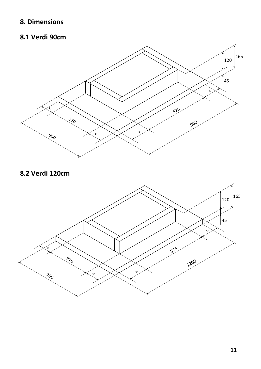# **8. Dimensions**

# **8.1 Verdi 90cm**



# **8.2 Verdi 120cm**